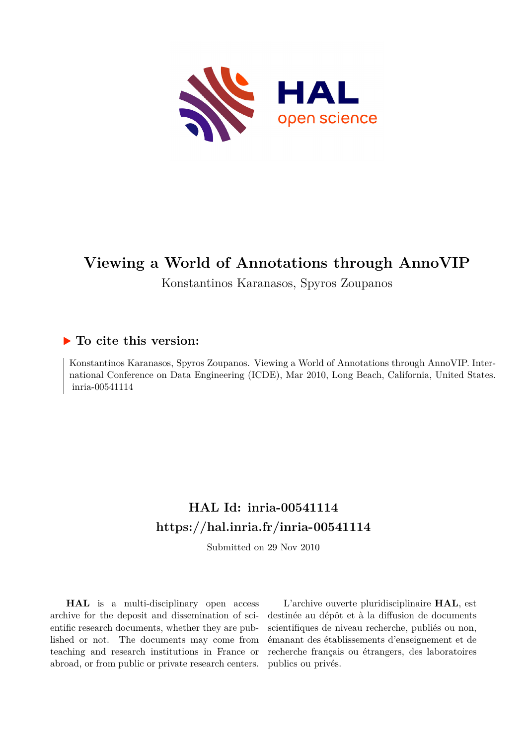

## **Viewing a World of Annotations through AnnoVIP**

Konstantinos Karanasos, Spyros Zoupanos

### **To cite this version:**

Konstantinos Karanasos, Spyros Zoupanos. Viewing a World of Annotations through AnnoVIP. International Conference on Data Engineering (ICDE), Mar 2010, Long Beach, California, United States. inria-00541114

### **HAL Id: inria-00541114 <https://hal.inria.fr/inria-00541114>**

Submitted on 29 Nov 2010

**HAL** is a multi-disciplinary open access archive for the deposit and dissemination of scientific research documents, whether they are published or not. The documents may come from teaching and research institutions in France or abroad, or from public or private research centers.

L'archive ouverte pluridisciplinaire **HAL**, est destinée au dépôt et à la diffusion de documents scientifiques de niveau recherche, publiés ou non, émanant des établissements d'enseignement et de recherche français ou étrangers, des laboratoires publics ou privés.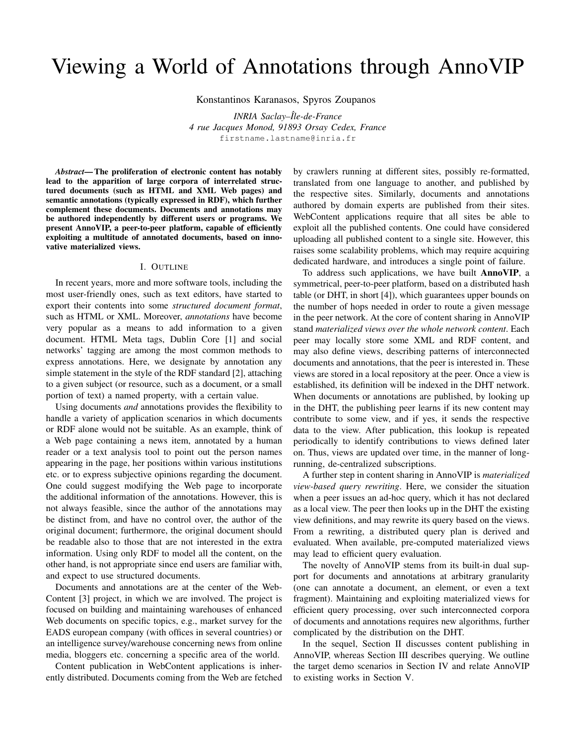# Viewing a World of Annotations through AnnoVIP

Konstantinos Karanasos, Spyros Zoupanos

*INRIA Saclay–ˆIle-de-France 4 rue Jacques Monod, 91893 Orsay Cedex, France* firstname.lastname@inria.fr

*Abstract*— The proliferation of electronic content has notably lead to the apparition of large corpora of interrelated structured documents (such as HTML and XML Web pages) and semantic annotations (typically expressed in RDF), which further complement these documents. Documents and annotations may be authored independently by different users or programs. We present AnnoVIP, a peer-to-peer platform, capable of efficiently exploiting a multitude of annotated documents, based on innovative materialized views.

#### I. OUTLINE

In recent years, more and more software tools, including the most user-friendly ones, such as text editors, have started to export their contents into some *structured document format*, such as HTML or XML. Moreover, *annotations* have become very popular as a means to add information to a given document. HTML Meta tags, Dublin Core [1] and social networks' tagging are among the most common methods to express annotations. Here, we designate by annotation any simple statement in the style of the RDF standard [2], attaching to a given subject (or resource, such as a document, or a small portion of text) a named property, with a certain value.

Using documents *and* annotations provides the flexibility to handle a variety of application scenarios in which documents or RDF alone would not be suitable. As an example, think of a Web page containing a news item, annotated by a human reader or a text analysis tool to point out the person names appearing in the page, her positions within various institutions etc. or to express subjective opinions regarding the document. One could suggest modifying the Web page to incorporate the additional information of the annotations. However, this is not always feasible, since the author of the annotations may be distinct from, and have no control over, the author of the original document; furthermore, the original document should be readable also to those that are not interested in the extra information. Using only RDF to model all the content, on the other hand, is not appropriate since end users are familiar with, and expect to use structured documents.

Documents and annotations are at the center of the Web-Content [3] project, in which we are involved. The project is focused on building and maintaining warehouses of enhanced Web documents on specific topics, e.g., market survey for the EADS european company (with offices in several countries) or an intelligence survey/warehouse concerning news from online media, bloggers etc. concerning a specific area of the world.

Content publication in WebContent applications is inherently distributed. Documents coming from the Web are fetched by crawlers running at different sites, possibly re-formatted, translated from one language to another, and published by the respective sites. Similarly, documents and annotations authored by domain experts are published from their sites. WebContent applications require that all sites be able to exploit all the published contents. One could have considered uploading all published content to a single site. However, this raises some scalability problems, which may require acquiring dedicated hardware, and introduces a single point of failure.

To address such applications, we have built AnnoVIP, a symmetrical, peer-to-peer platform, based on a distributed hash table (or DHT, in short [4]), which guarantees upper bounds on the number of hops needed in order to route a given message in the peer network. At the core of content sharing in AnnoVIP stand *materialized views over the whole network content*. Each peer may locally store some XML and RDF content, and may also define views, describing patterns of interconnected documents and annotations, that the peer is interested in. These views are stored in a local repository at the peer. Once a view is established, its definition will be indexed in the DHT network. When documents or annotations are published, by looking up in the DHT, the publishing peer learns if its new content may contribute to some view, and if yes, it sends the respective data to the view. After publication, this lookup is repeated periodically to identify contributions to views defined later on. Thus, views are updated over time, in the manner of longrunning, de-centralized subscriptions.

A further step in content sharing in AnnoVIP is *materialized view-based query rewriting*. Here, we consider the situation when a peer issues an ad-hoc query, which it has not declared as a local view. The peer then looks up in the DHT the existing view definitions, and may rewrite its query based on the views. From a rewriting, a distributed query plan is derived and evaluated. When available, pre-computed materialized views may lead to efficient query evaluation.

The novelty of AnnoVIP stems from its built-in dual support for documents and annotations at arbitrary granularity (one can annotate a document, an element, or even a text fragment). Maintaining and exploiting materialized views for efficient query processing, over such interconnected corpora of documents and annotations requires new algorithms, further complicated by the distribution on the DHT.

In the sequel, Section II discusses content publishing in AnnoVIP, whereas Section III describes querying. We outline the target demo scenarios in Section IV and relate AnnoVIP to existing works in Section V.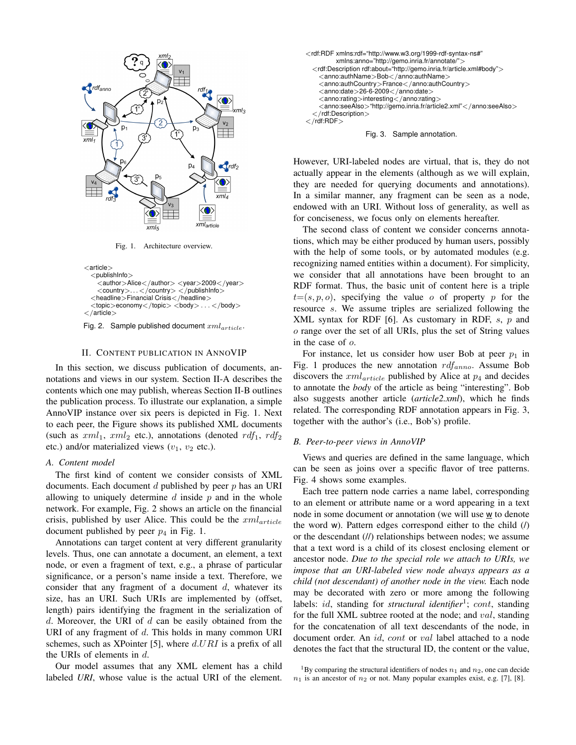

Fig. 1. Architecture overview.



Fig. 2. Sample published document  $xml_{article}$ .

#### II. CONTENT PUBLICATION IN ANNOVIP

In this section, we discuss publication of documents, annotations and views in our system. Section II-A describes the contents which one may publish, whereas Section II-B outlines the publication process. To illustrate our explanation, a simple AnnoVIP instance over six peers is depicted in Fig. 1. Next to each peer, the Figure shows its published XML documents (such as  $xml_1$ ,  $xml_2$  etc.), annotations (denoted rdf<sub>1</sub>, rdf<sub>2</sub> etc.) and/or materialized views  $(v_1, v_2$  etc.).

#### *A. Content model*

The first kind of content we consider consists of XML documents. Each document  $d$  published by peer  $p$  has an URI allowing to uniquely determine  $d$  inside  $p$  and in the whole network. For example, Fig. 2 shows an article on the financial crisis, published by user Alice. This could be the  $cml_{article}$ document published by peer  $p_4$  in Fig. 1.

Annotations can target content at very different granularity levels. Thus, one can annotate a document, an element, a text node, or even a fragment of text, e.g., a phrase of particular significance, or a person's name inside a text. Therefore, we consider that any fragment of a document  $d$ , whatever its size, has an URI. Such URIs are implemented by (offset, length) pairs identifying the fragment in the serialization of  $d.$  Moreover, the URI of  $d$  can be easily obtained from the URI of any fragment of d. This holds in many common URI schemes, such as XPointer [5], where  $d.URI$  is a prefix of all the URIs of elements in  $d$ .

Our model assumes that any XML element has a child labeled *URI*, whose value is the actual URI of the element.





However, URI-labeled nodes are virtual, that is, they do not actually appear in the elements (although as we will explain, they are needed for querying documents and annotations). In a similar manner, any fragment can be seen as a node, endowed with an URI. Without loss of generality, as well as for conciseness, we focus only on elements hereafter.

The second class of content we consider concerns annotations, which may be either produced by human users, possibly with the help of some tools, or by automated modules (e.g. recognizing named entities within a document). For simplicity, we consider that all annotations have been brought to an RDF format. Thus, the basic unit of content here is a triple  $t=(s, p, o)$ , specifying the value o of property p for the resource s. We assume triples are serialized following the XML syntax for RDF  $[6]$ . As customary in RDF, s, p and o range over the set of all URIs, plus the set of String values in the case of o.

For instance, let us consider how user Bob at peer  $p_1$  in Fig. 1 produces the new annotation  $\text{rdf}_{anno}$ . Assume Bob discovers the  $xml_{article}$  published by Alice at  $p_4$  and decides to annotate the *body* of the article as being "interesting". Bob also suggests another article (*article2.xml*), which he finds related. The corresponding RDF annotation appears in Fig. 3, together with the author's (i.e., Bob's) profile.

#### *B. Peer-to-peer views in AnnoVIP*

Views and queries are defined in the same language, which can be seen as joins over a specific flavor of tree patterns. Fig. 4 shows some examples.

Each tree pattern node carries a name label, corresponding to an element or attribute name or a word appearing in a text node in some document or annotation (we will use w to denote the word w). Pattern edges correspond either to the child (/) or the descendant (//) relationships between nodes; we assume that a text word is a child of its closest enclosing element or ancestor node. *Due to the special role we attach to URIs, we impose that an URI-labeled view node always appears as a child (not descendant) of another node in the view.* Each node may be decorated with zero or more among the following labels: id, standing for *structural identifier*<sup>1</sup>; cont, standing for the full XML subtree rooted at the node; and val, standing for the concatenation of all text descendants of the node, in document order. An id, cont or val label attached to a node denotes the fact that the structural ID, the content or the value,

<sup>1</sup>By comparing the structural identifiers of nodes  $n_1$  and  $n_2$ , one can decide  $n_1$  is an ancestor of  $n_2$  or not. Many popular examples exist, e.g. [7], [8].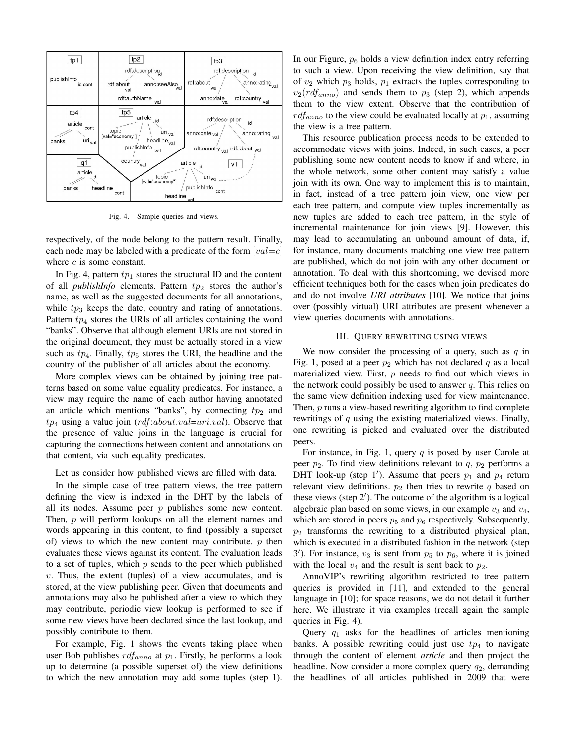

Fig. 4. Sample queries and views.

respectively, of the node belong to the pattern result. Finally, each node may be labeled with a predicate of the form  $[val=c]$ where  $c$  is some constant.

In Fig. 4, pattern  $tp_1$  stores the structural ID and the content of all *publishInfo* elements. Pattern  $tp_2$  stores the author's name, as well as the suggested documents for all annotations, while  $tp_3$  keeps the date, country and rating of annotations. Pattern  $tp_4$  stores the URIs of all articles containing the word "banks". Observe that although element URIs are not stored in the original document, they must be actually stored in a view such as  $tp_4$ . Finally,  $tp_5$  stores the URI, the headline and the country of the publisher of all articles about the economy.

More complex views can be obtained by joining tree patterns based on some value equality predicates. For instance, a view may require the name of each author having annotated an article which mentions "banks", by connecting  $tp_2$  and  $tp_4$  using a value join (rdf:about.val=uri.val). Observe that the presence of value joins in the language is crucial for capturing the connections between content and annotations on that content, via such equality predicates.

Let us consider how published views are filled with data.

In the simple case of tree pattern views, the tree pattern defining the view is indexed in the DHT by the labels of all its nodes. Assume peer  $p$  publishes some new content. Then, p will perform lookups on all the element names and words appearing in this content, to find (possibly a superset of) views to which the new content may contribute.  $p$  then evaluates these views against its content. The evaluation leads to a set of tuples, which  $p$  sends to the peer which published  $v$ . Thus, the extent (tuples) of a view accumulates, and is stored, at the view publishing peer. Given that documents and annotations may also be published after a view to which they may contribute, periodic view lookup is performed to see if some new views have been declared since the last lookup, and possibly contribute to them.

For example, Fig. 1 shows the events taking place when user Bob publishes  $\text{rdf}_{anno}$  at  $p_1$ . Firstly, he performs a look up to determine (a possible superset of) the view definitions to which the new annotation may add some tuples (step 1).

In our Figure,  $p_6$  holds a view definition index entry referring to such a view. Upon receiving the view definition, say that of  $v_2$  which  $p_3$  holds,  $p_1$  extracts the tuples corresponding to  $v_2(rdf_{anno})$  and sends them to  $p_3$  (step 2), which appends them to the view extent. Observe that the contribution of  $rdf_{anno}$  to the view could be evaluated locally at  $p_1$ , assuming the view is a tree pattern.

This resource publication process needs to be extended to accommodate views with joins. Indeed, in such cases, a peer publishing some new content needs to know if and where, in the whole network, some other content may satisfy a value join with its own. One way to implement this is to maintain, in fact, instead of a tree pattern join view, one view per each tree pattern, and compute view tuples incrementally as new tuples are added to each tree pattern, in the style of incremental maintenance for join views [9]. However, this may lead to accumulating an unbound amount of data, if, for instance, many documents matching one view tree pattern are published, which do not join with any other document or annotation. To deal with this shortcoming, we devised more efficient techniques both for the cases when join predicates do and do not involve *URI attributes* [10]. We notice that joins over (possibly virtual) URI attributes are present whenever a view queries documents with annotations.

#### III. QUERY REWRITING USING VIEWS

We now consider the processing of a query, such as  $q$  in Fig. 1, posed at a peer  $p_2$  which has not declared q as a local materialized view. First, p needs to find out which views in the network could possibly be used to answer  $q$ . This relies on the same view definition indexing used for view maintenance. Then, p runs a view-based rewriting algorithm to find complete rewritings of  $q$  using the existing materialized views. Finally, one rewriting is picked and evaluated over the distributed peers.

For instance, in Fig. 1, query  $q$  is posed by user Carole at peer  $p_2$ . To find view definitions relevant to  $q$ ,  $p_2$  performs a DHT look-up (step 1'). Assume that peers  $p_1$  and  $p_4$  return relevant view definitions.  $p_2$  then tries to rewrite q based on these views (step  $2'$ ). The outcome of the algorithm is a logical algebraic plan based on some views, in our example  $v_3$  and  $v_4$ , which are stored in peers  $p_5$  and  $p_6$  respectively. Subsequently,  $p_2$  transforms the rewriting to a distributed physical plan, which is executed in a distributed fashion in the network (step 3<sup>'</sup>). For instance,  $v_3$  is sent from  $p_5$  to  $p_6$ , where it is joined with the local  $v_4$  and the result is sent back to  $p_2$ .

AnnoVIP's rewriting algorithm restricted to tree pattern queries is provided in [11], and extended to the general language in [10]; for space reasons, we do not detail it further here. We illustrate it via examples (recall again the sample queries in Fig. 4).

Query  $q_1$  asks for the headlines of articles mentioning banks. A possible rewriting could just use  $tp_4$  to navigate through the content of element *article* and then project the headline. Now consider a more complex query  $q_2$ , demanding the headlines of all articles published in 2009 that were